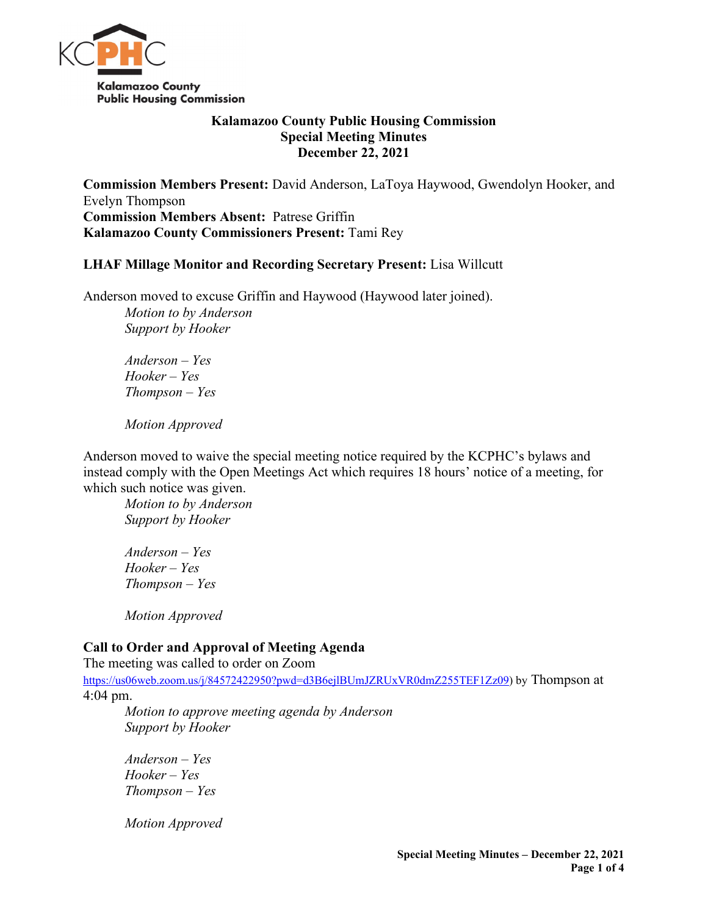

# **Kalamazoo County Public Housing Commission Special Meeting Minutes December 22, 2021**

**Commission Members Present:** David Anderson, LaToya Haywood, Gwendolyn Hooker, and Evelyn Thompson **Commission Members Absent:** Patrese Griffin **Kalamazoo County Commissioners Present:** Tami Rey

### **LHAF Millage Monitor and Recording Secretary Present:** Lisa Willcutt

Anderson moved to excuse Griffin and Haywood (Haywood later joined). *Motion to by Anderson Support by Hooker*

*Anderson – Yes Hooker – Yes Thompson – Yes* 

*Motion Approved*

Anderson moved to waive the special meeting notice required by the KCPHC's bylaws and instead comply with the Open Meetings Act which requires 18 hours' notice of a meeting, for which such notice was given.

*Motion to by Anderson Support by Hooker*

*Anderson – Yes Hooker – Yes Thompson – Yes* 

*Motion Approved*

# **Call to Order and Approval of Meeting Agenda**

The meeting was called to order on Zoom

[https://us06web.zoom.us/j/84572422950?pwd=d3B6ejlBUmJZRUxVR0dmZ255TEF1Zz09\)](https://us06web.zoom.us/j/84572422950?pwd=d3B6ejlBUmJZRUxVR0dmZ255TEF1Zz09) by Thompson at 4:04 pm.

*Motion to approve meeting agenda by Anderson Support by Hooker*

*Anderson – Yes Hooker – Yes Thompson – Yes* 

*Motion Approved*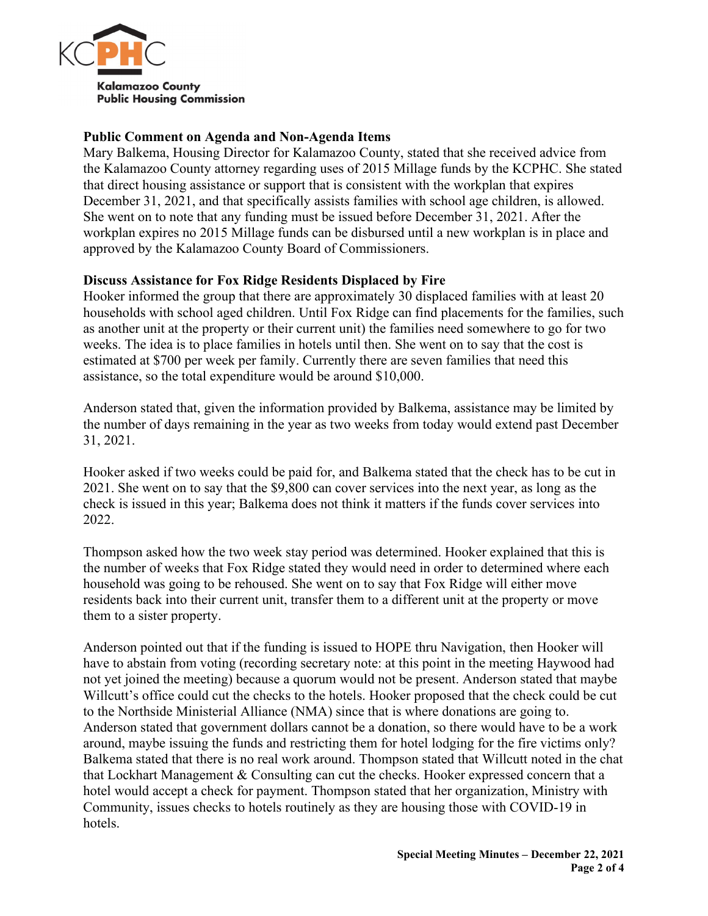

# **Public Comment on Agenda and Non-Agenda Items**

Mary Balkema, Housing Director for Kalamazoo County, stated that she received advice from the Kalamazoo County attorney regarding uses of 2015 Millage funds by the KCPHC. She stated that direct housing assistance or support that is consistent with the workplan that expires December 31, 2021, and that specifically assists families with school age children, is allowed. She went on to note that any funding must be issued before December 31, 2021. After the workplan expires no 2015 Millage funds can be disbursed until a new workplan is in place and approved by the Kalamazoo County Board of Commissioners.

### **Discuss Assistance for Fox Ridge Residents Displaced by Fire**

Hooker informed the group that there are approximately 30 displaced families with at least 20 households with school aged children. Until Fox Ridge can find placements for the families, such as another unit at the property or their current unit) the families need somewhere to go for two weeks. The idea is to place families in hotels until then. She went on to say that the cost is estimated at \$700 per week per family. Currently there are seven families that need this assistance, so the total expenditure would be around \$10,000.

Anderson stated that, given the information provided by Balkema, assistance may be limited by the number of days remaining in the year as two weeks from today would extend past December 31, 2021.

Hooker asked if two weeks could be paid for, and Balkema stated that the check has to be cut in 2021. She went on to say that the \$9,800 can cover services into the next year, as long as the check is issued in this year; Balkema does not think it matters if the funds cover services into 2022.

Thompson asked how the two week stay period was determined. Hooker explained that this is the number of weeks that Fox Ridge stated they would need in order to determined where each household was going to be rehoused. She went on to say that Fox Ridge will either move residents back into their current unit, transfer them to a different unit at the property or move them to a sister property.

Anderson pointed out that if the funding is issued to HOPE thru Navigation, then Hooker will have to abstain from voting (recording secretary note: at this point in the meeting Haywood had not yet joined the meeting) because a quorum would not be present. Anderson stated that maybe Willcutt's office could cut the checks to the hotels. Hooker proposed that the check could be cut to the Northside Ministerial Alliance (NMA) since that is where donations are going to. Anderson stated that government dollars cannot be a donation, so there would have to be a work around, maybe issuing the funds and restricting them for hotel lodging for the fire victims only? Balkema stated that there is no real work around. Thompson stated that Willcutt noted in the chat that Lockhart Management & Consulting can cut the checks. Hooker expressed concern that a hotel would accept a check for payment. Thompson stated that her organization, Ministry with Community, issues checks to hotels routinely as they are housing those with COVID-19 in hotels.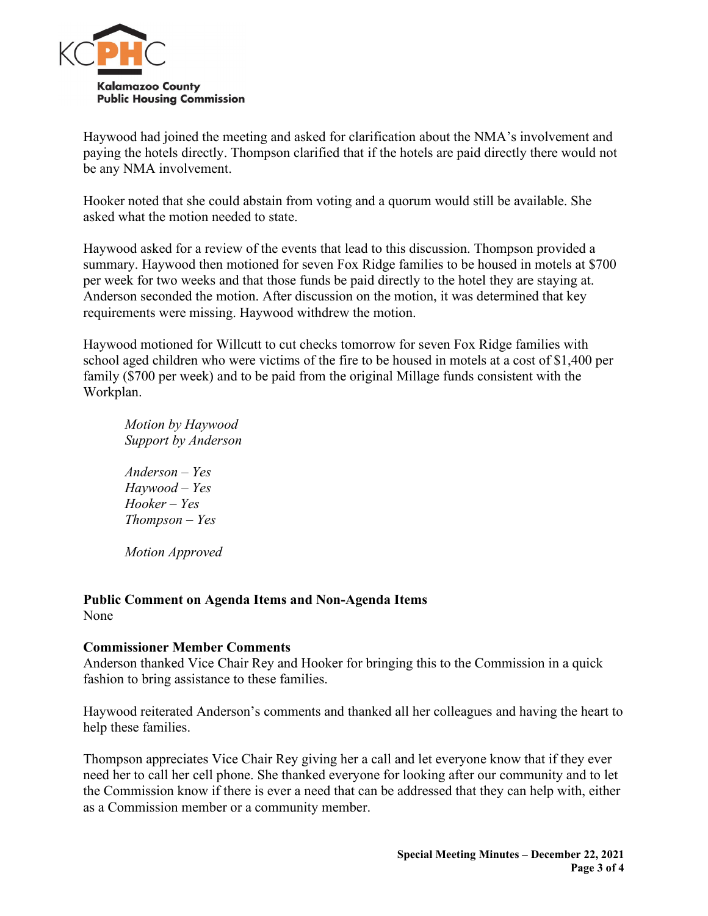

Haywood had joined the meeting and asked for clarification about the NMA's involvement and paying the hotels directly. Thompson clarified that if the hotels are paid directly there would not be any NMA involvement.

Hooker noted that she could abstain from voting and a quorum would still be available. She asked what the motion needed to state.

Haywood asked for a review of the events that lead to this discussion. Thompson provided a summary. Haywood then motioned for seven Fox Ridge families to be housed in motels at \$700 per week for two weeks and that those funds be paid directly to the hotel they are staying at. Anderson seconded the motion. After discussion on the motion, it was determined that key requirements were missing. Haywood withdrew the motion.

Haywood motioned for Willcutt to cut checks tomorrow for seven Fox Ridge families with school aged children who were victims of the fire to be housed in motels at a cost of \$1,400 per family (\$700 per week) and to be paid from the original Millage funds consistent with the Workplan.

*Motion by Haywood Support by Anderson Anderson – Yes Haywood – Yes Hooker – Yes Thompson – Yes Motion Approved*

#### **Public Comment on Agenda Items and Non-Agenda Items** None

#### **Commissioner Member Comments**

Anderson thanked Vice Chair Rey and Hooker for bringing this to the Commission in a quick fashion to bring assistance to these families.

Haywood reiterated Anderson's comments and thanked all her colleagues and having the heart to help these families.

Thompson appreciates Vice Chair Rey giving her a call and let everyone know that if they ever need her to call her cell phone. She thanked everyone for looking after our community and to let the Commission know if there is ever a need that can be addressed that they can help with, either as a Commission member or a community member.